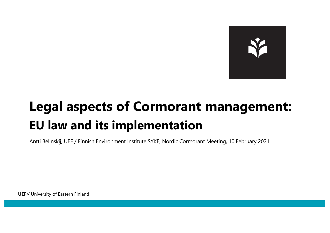

### **Legal aspects of Cormorant management: EU law and its implementation**

Antti Belinskij, UEF / Finnish Environment Institute SYKE, Nordic Cormorant Meeting, 10 February 2021

**UEF**// University of Eastern Finland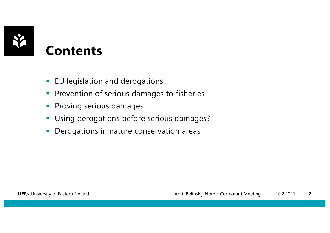

#### **Contents**

- **EU legislation and derogations**
- **Prevention of serious damages to fisheries**
- **•** Proving serious damages
- **Using derogations before serious damages?**
- **Derogations in nature conservation areas**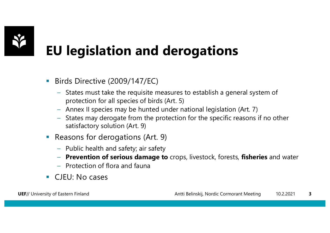

## **EU legislation and derogations**

- Birds Directive (2009/147/EC)
	- States must take the requisite measures to establish a general system of protection for all species of birds (Art. 5)
	- Annex II species may be hunted under national legislation (Art. 7)
	- States may derogate from the protection for the specific reasons if no other satisfactory solution (Art. 9)
- Reasons for derogations (Art. 9)
	- Public health and safety; air safety
	- **Prevention of serious damage to** crops, livestock, forests, **fisheries** and water
	- Protection of flora and fauna
- CJEU: No cases

**UEF**// University of Eastern Finland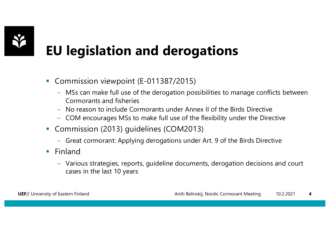

# **EU legislation and derogations**

- Commission viewpoint (E-011387/2015)
	- MSs can make full use of the derogation possibilities to manage conflicts between Cormorants and fisheries
	- No reason to include Cormorants under Annex II of the Birds Directive
	- COM encourages MSs to make full use of the flexibility under the Directive
- Commission (2013) guidelines (COM2013)
	- Great cormorant: Applying derogations under Art. 9 of the Birds Directive
- Finland
	- Various strategies, reports, guideline documents, derogation decisions and court cases in the last 10 years

**UEF**// University of Eastern Finland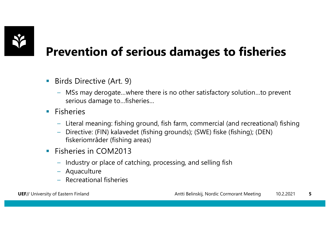

#### **Prevention of serious damages to fisheries**

- Birds Directive (Art. 9)
	- MSs may derogate…where there is no other satisfactory solution…to prevent serious damage to…fisheries…
- Fisheries
	- Literal meaning: fishing ground, fish farm, commercial (and recreational) fishing
	- Directive: (FIN) kalavedet (fishing grounds); (SWE) fiske (fishing); (DEN) fiskeriområder (fishing areas)
- Fisheries in COM2013
	- Industry or place of catching, processing, and selling fish
	- Aquaculture
	- Recreational fisheries

**UEF**// University of Eastern Finland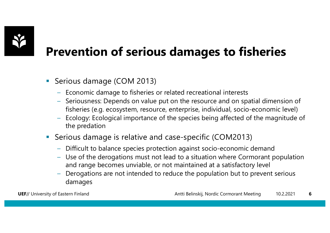

#### **Prevention of serious damages to fisheries**

- Serious damage (COM 2013)
	- Economic damage to fisheries or related recreational interests
	- Seriousness: Depends on value put on the resource and on spatial dimension of fisheries (e.g. ecosystem, resource, enterprise, individual, socio-economic level)
	- Ecology: Ecological importance of the species being affected of the magnitude of the predation
- Serious damage is relative and case-specific (COM2013)
	- Difficult to balance species protection against socio-economic demand
	- Use of the derogations must not lead to a situation where Cormorant population and range becomes unviable, or not maintained at a satisfactory level
	- Derogations are not intended to reduce the population but to prevent serious damages

**UEF**// University of Eastern Finland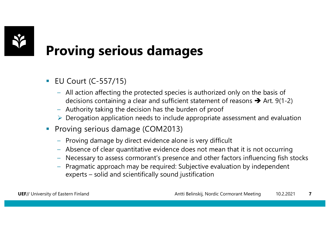

### **Proving serious damages**

- EU Court (C-557/15)
	- All action affecting the protected species is authorized only on the basis of decisions containing a clear and sufficient statement of reasons  $\rightarrow$  Art. 9(1-2)
	- Authority taking the decision has the burden of proof
	- $\triangleright$  Derogation application needs to include appropriate assessment and evaluation
- Proving serious damage (COM2013)
	- Proving damage by direct evidence alone is very difficult
	- Absence of clear quantitative evidence does not mean that it is not occurring
	- Necessary to assess cormorant's presence and other factors influencing fish stocks
	- Pragmatic approach may be required: Subjective evaluation by independent experts – solid and scientifically sound justification

**UEF**// University of Eastern Finland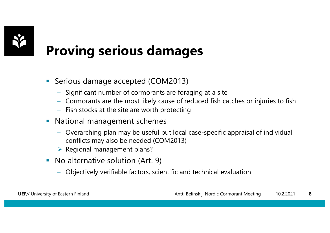

### **Proving serious damages**

- Serious damage accepted (COM2013)
	- Significant number of cormorants are foraging at a site
	- Cormorants are the most likely cause of reduced fish catches or injuries to fish
	- Fish stocks at the site are worth protecting
- **National management schemes** 
	- Overarching plan may be useful but local case-specific appraisal of individual conflicts may also be needed (COM2013)
	- $\triangleright$  Regional management plans?
- No alternative solution (Art. 9)
	- Objectively verifiable factors, scientific and technical evaluation

**UEF**// University of Eastern Finland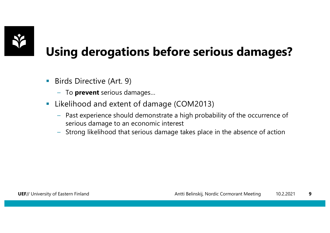

#### **Using derogations before serious damages?**

- **•** Birds Directive (Art. 9)
	- To **prevent** serious damages…
- Likelihood and extent of damage (COM2013)
	- Past experience should demonstrate a high probability of the occurrence of serious damage to an economic interest
	- Strong likelihood that serious damage takes place in the absence of action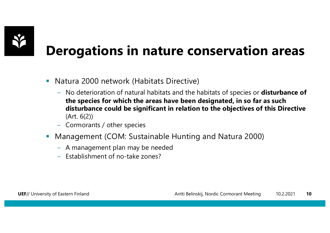

### **Derogations in nature conservation areas**

- Natura 2000 network (Habitats Directive)
	- No deterioration of natural habitats and the habitats of species or **disturbance of the species for which the areas have been designated, in so far as such disturbance could be significant in relation to the objectives of this Directive**  (Art. 6(2))
	- Cormorants / other species
- § Management (COM: Sustainable Hunting and Natura 2000)
	- A management plan may be needed
	- Establishment of no-take zones?

**UEF**// University of Eastern Finland